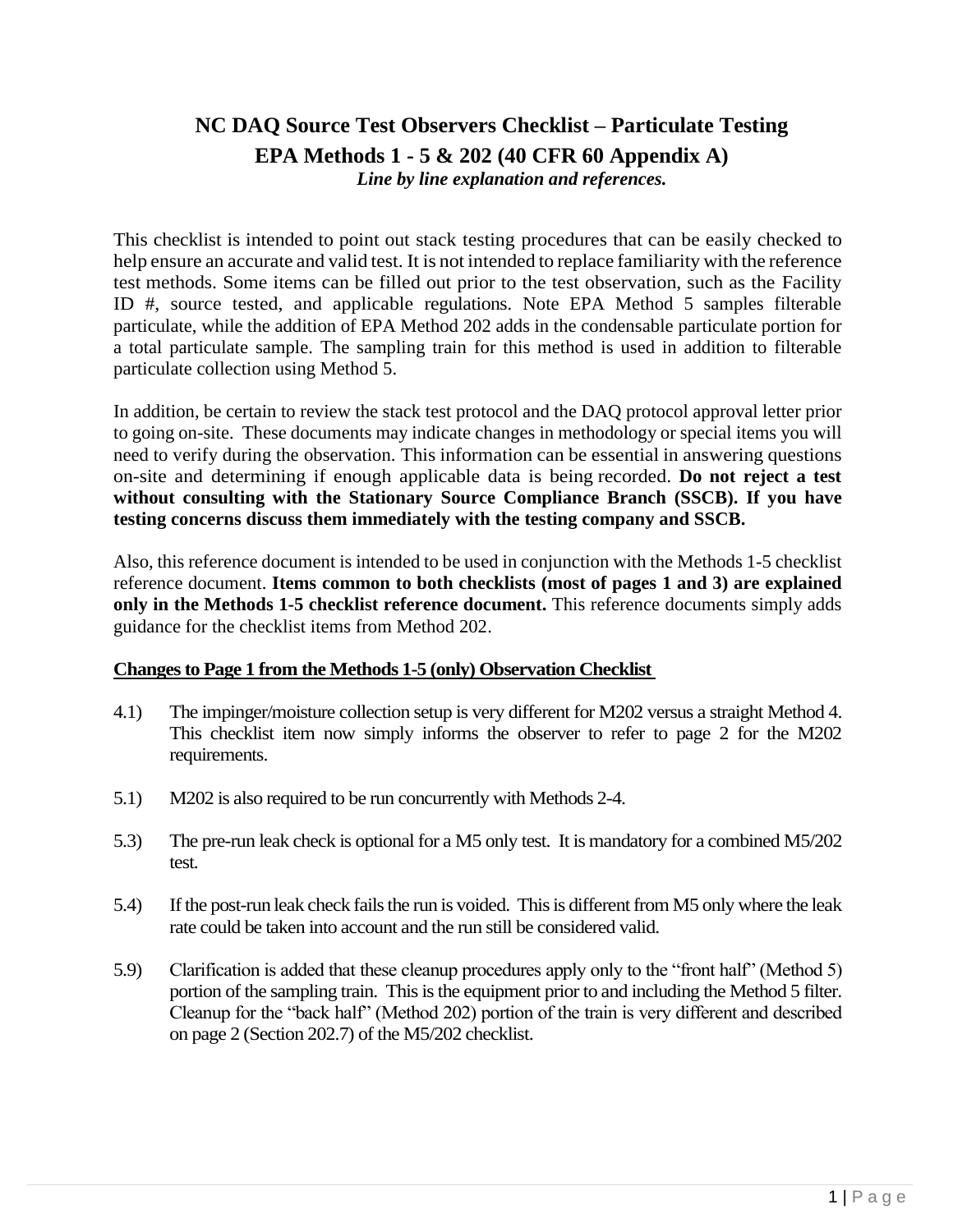# **NC DAQ Source Test Observers Checklist – Particulate Testing EPA Methods 1 - 5 & 202 (40 CFR 60 Appendix A)** *Line by line explanation and references.*

This checklist is intended to point out stack testing procedures that can be easily checked to help ensure an accurate and valid test. It is not intended to replace familiarity with the reference test methods. Some items can be filled out prior to the test observation, such as the Facility ID #, source tested, and applicable regulations. Note EPA Method 5 samples filterable particulate, while the addition of EPA Method 202 adds in the condensable particulate portion for a total particulate sample. The sampling train for this method is used in addition to filterable particulate collection using Method 5.

In addition, be certain to review the stack test protocol and the DAQ protocol approval letter prior to going on-site. These documents may indicate changes in methodology or special items you will need to verify during the observation. This information can be essential in answering questions on-site and determining if enough applicable data is being recorded. **Do not reject a test without consulting with the Stationary Source Compliance Branch (SSCB). If you have testing concerns discuss them immediately with the testing company and SSCB.**

Also, this reference document is intended to be used in conjunction with the Methods 1-5 checklist reference document. **Items common to both checklists (most of pages 1 and 3) are explained only in the Methods 1-5 checklist reference document.** This reference documents simply adds guidance for the checklist items from Method 202.

# **Changes to Page 1 from the Methods 1-5 (only) Observation Checklist**

- 4.1) The impinger/moisture collection setup is very different for M202 versus a straight Method 4. This checklist item now simply informs the observer to refer to page 2 for the M202 requirements.
- 5.1) M202 is also required to be run concurrently with Methods 2-4.
- 5.3) The pre-run leak check is optional for a M5 only test. It is mandatory for a combined M5/202 test.
- 5.4) If the post-run leak check fails the run is voided. This is different from M5 only where the leak rate could be taken into account and the run still be considered valid.
- 5.9) Clarification is added that these cleanup procedures apply only to the "front half" (Method 5) portion of the sampling train. This is the equipment prior to and including the Method 5 filter. Cleanup for the "back half" (Method 202) portion of the train is very different and described on page 2 (Section 202.7) of the M5/202 checklist.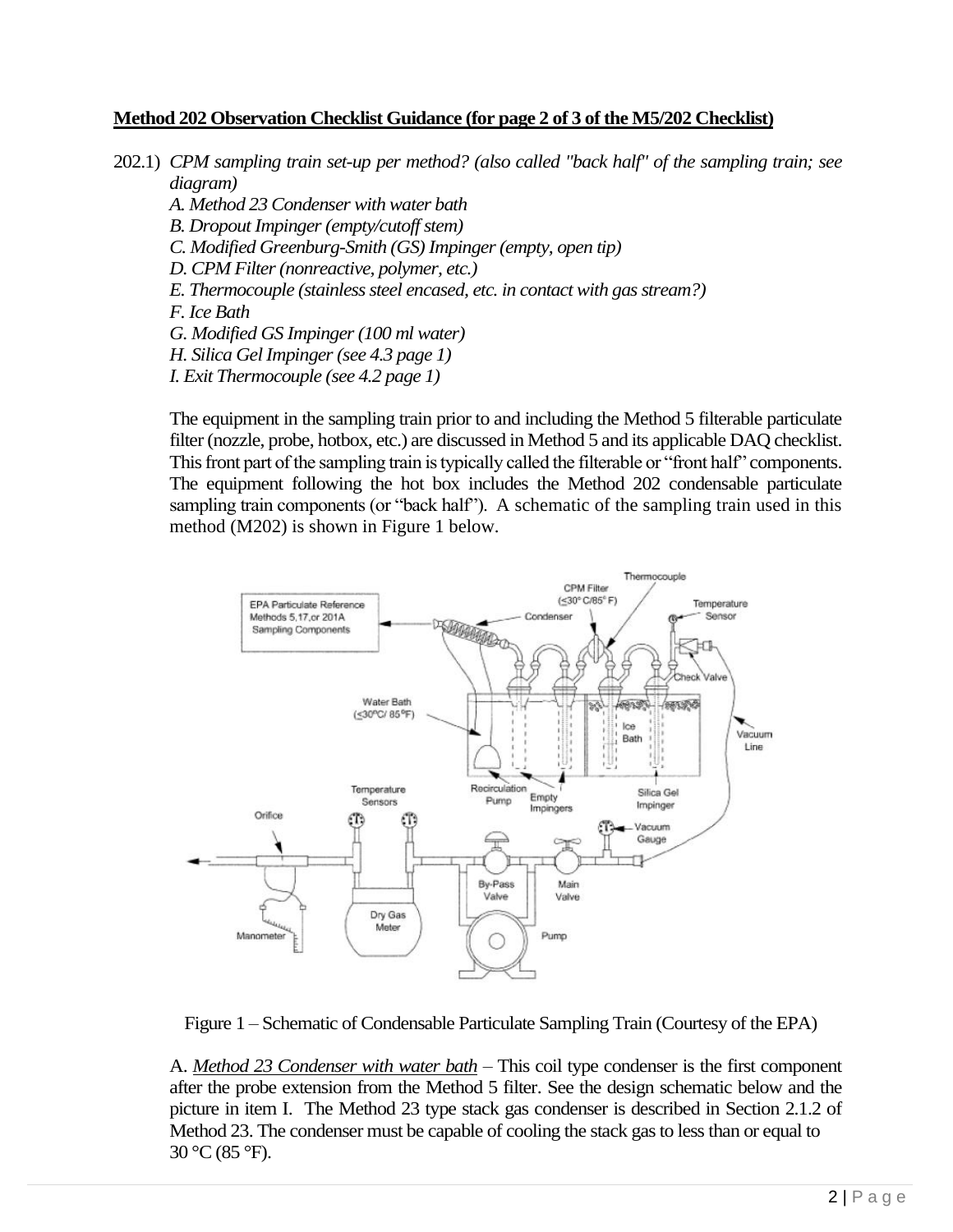## **Method 202 Observation Checklist Guidance (for page 2 of 3 of the M5/202 Checklist)**

- 202.1) *CPM sampling train set-up per method? (also called "back half" of the sampling train; see diagram)*
	- *A. Method 23 Condenser with water bath*
	- *B. Dropout Impinger (empty/cutoff stem)*
	- *C. Modified Greenburg-Smith (GS) Impinger(empty, open tip)*
	- *D. CPM Filter (nonreactive, polymer, etc.)*
	- *E. Thermocouple (stainless steel encased, etc. in contact with gas stream?)*
	- *F. Ice Bath*
	- *G. Modified GS Impinger (100 ml water)*
	- *H. Silica Gel Impinger (see 4.3 page 1)*
	- *I. Exit Thermocouple (see 4.2 page 1)*

The equipment in the sampling train prior to and including the Method 5 filterable particulate filter (nozzle, probe, hotbox, etc.) are discussed in Method 5 and its applicable DAQ checklist. This front part of the sampling train is typically called the filterable or "front half" components. The equipment following the hot box includes the Method 202 condensable particulate sampling train components (or "back half"). A schematic of the sampling train used in this method (M202) is shown in Figure 1 below.





A. *Method 23 Condenser with water bath* – This coil type condenser is the first component after the probe extension from the Method 5 filter. See the design schematic below and the picture in item I. The Method 23 type stack gas condenser is described in Section 2.1.2 of Method 23. The condenser must be capable of cooling the stack gas to less than or equal to 30 °C (85 °F).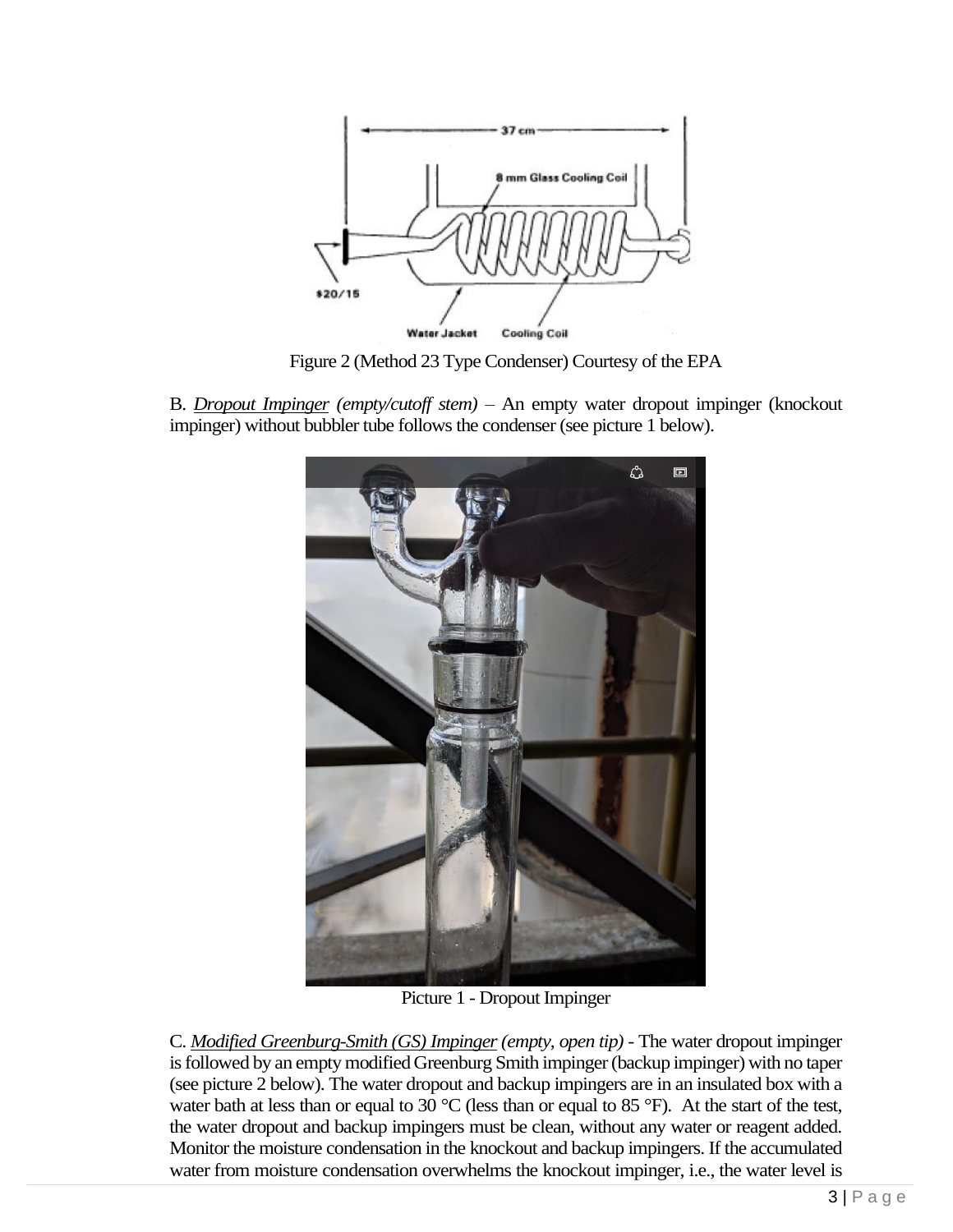

Figure 2 (Method 23 Type Condenser) Courtesy of the EPA

B. *Dropout Impinger (empty/cutoff stem)* – An empty water dropout impinger (knockout impinger) without bubbler tube follows the condenser (see picture 1 below).



Picture 1 - Dropout Impinger

C. *Modified Greenburg-Smith (GS) Impinger(empty, open tip)* - The water dropout impinger is followed by an empty modified Greenburg Smith impinger (backup impinger) with no taper (see picture 2 below). The water dropout and backup impingers are in an insulated box with a water bath at less than or equal to 30 °C (less than or equal to 85 °F). At the start of the test, the water dropout and backup impingers must be clean, without any water or reagent added. Monitor the moisture condensation in the knockout and backup impingers. If the accumulated water from moisture condensation overwhelms the knockout impinger, i.e., the water level is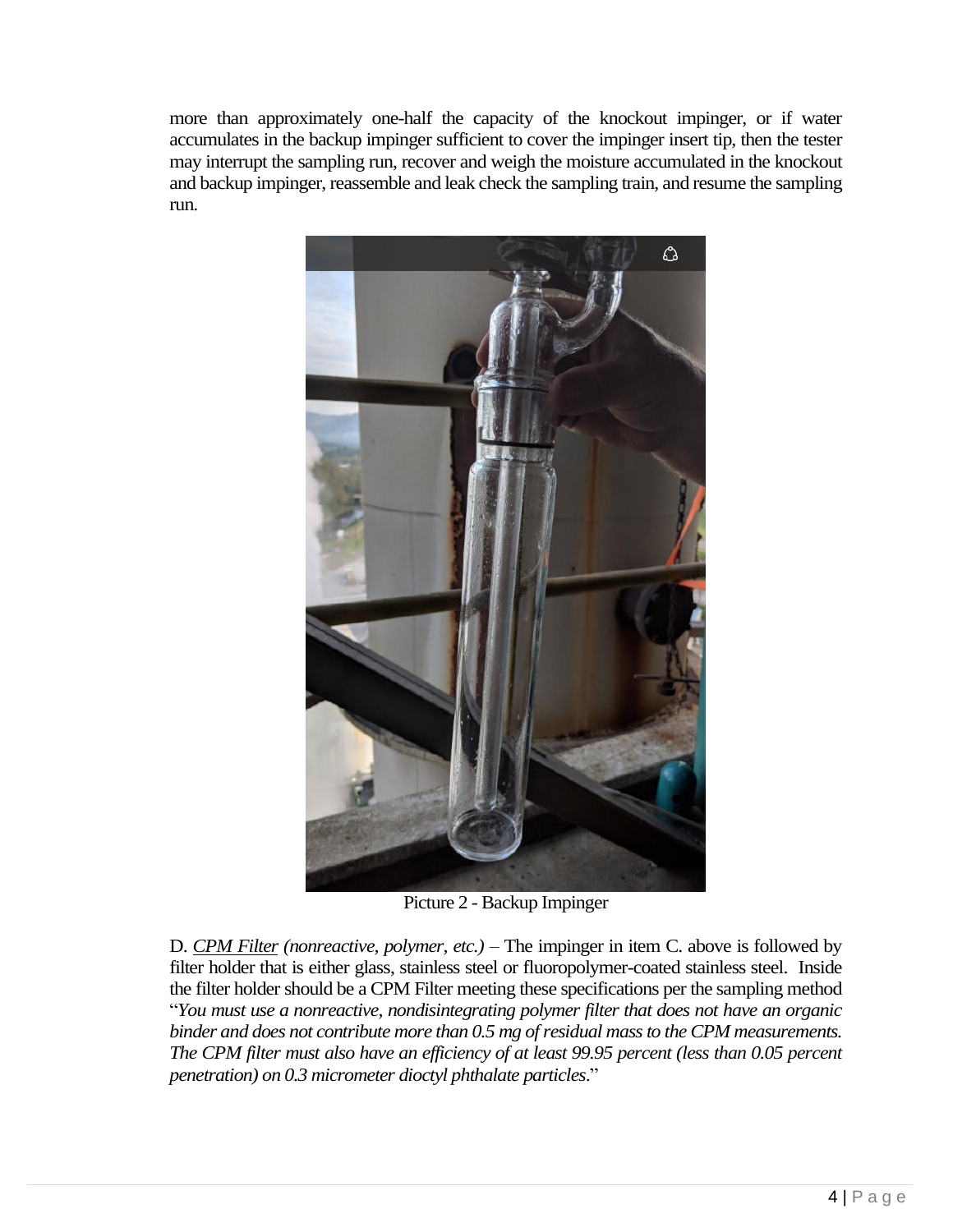more than approximately one-half the capacity of the knockout impinger, or if water accumulates in the backup impinger sufficient to cover the impinger insert tip, then the tester may interrupt the sampling run, recover and weigh the moisture accumulated in the knockout and backup impinger, reassemble and leak check the sampling train, and resume the sampling run.



Picture 2 - Backup Impinger

D. *CPM Filter (nonreactive, polymer, etc.)* – The impinger in item C. above is followed by filter holder that is either glass, stainless steel or fluoropolymer-coated stainless steel. Inside the filter holder should be a CPM Filter meeting these specifications per the sampling method "*You must use a nonreactive, nondisintegrating polymer filter that does not have an organic binder and does not contribute more than 0.5 mg of residual mass to the CPM measurements. The CPM filter must also have an efficiency of at least 99.95 percent (less than 0.05 percent penetration) on 0.3 micrometer dioctyl phthalate particles*."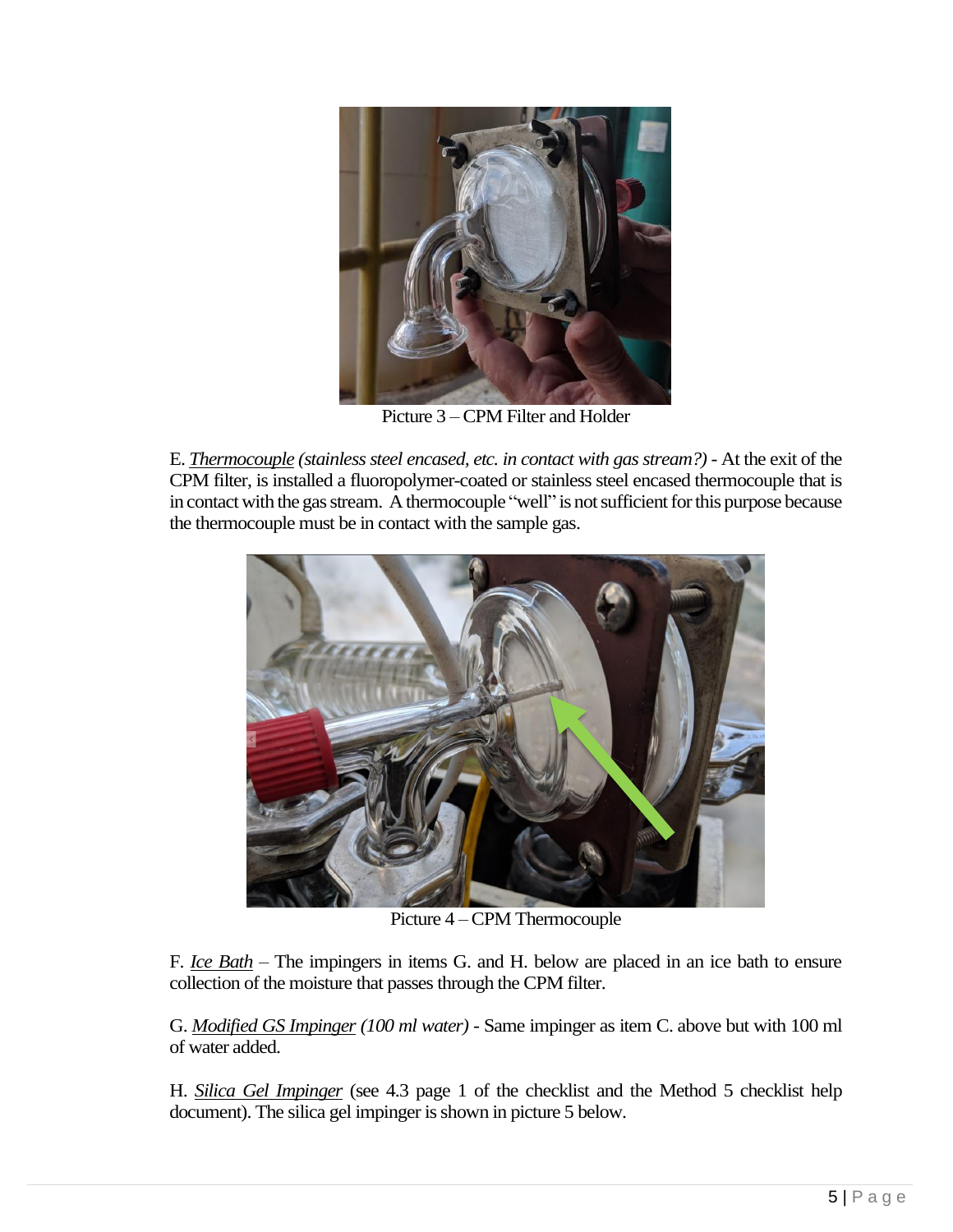

Picture 3 –CPM Filter and Holder

E. *Thermocouple (stainless steel encased, etc. in contact with gas stream?)* - At the exit of the CPM filter, is installed a fluoropolymer-coated or stainless steel encased thermocouple that is in contact with the gas stream. A thermocouple "well" is not sufficient for this purpose because the thermocouple must be in contact with the sample gas.



Picture 4 –CPM Thermocouple

F. *Ice Bath* – The impingers in items G. and H. below are placed in an ice bath to ensure collection of the moisture that passes through the CPM filter.

G. *Modified GS Impinger (100 ml water)* - Same impinger as item C. above but with 100 ml of water added.

H. *Silica Gel Impinger* (see 4.3 page 1 of the checklist and the Method 5 checklist help document). The silica gel impinger is shown in picture 5 below.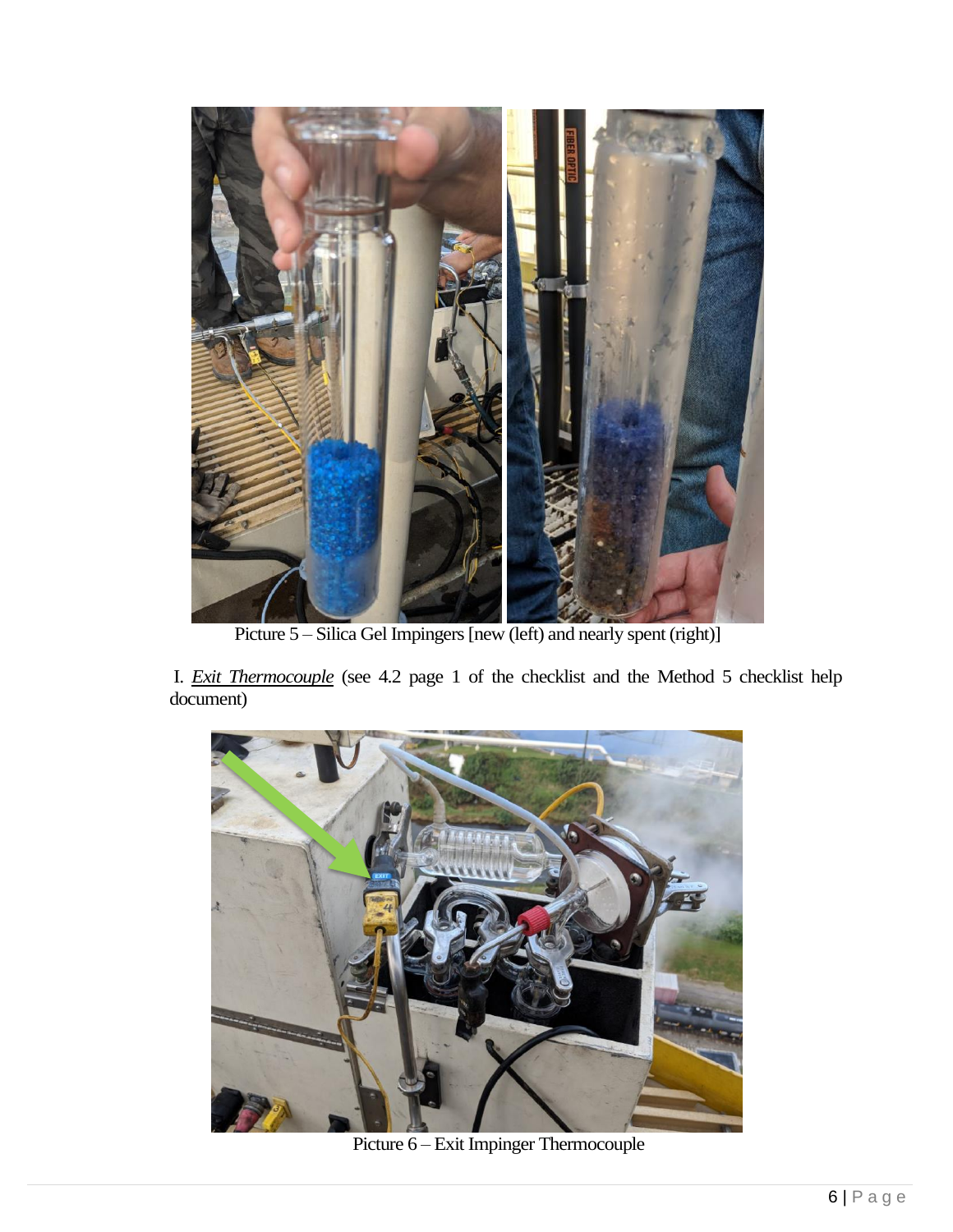

Picture 5 – Silica Gel Impingers [new (left) and nearly spent (right)]

I. *Exit Thermocouple* (see 4.2 page 1 of the checklist and the Method 5 checklist help document)



Picture 6 – Exit Impinger Thermocouple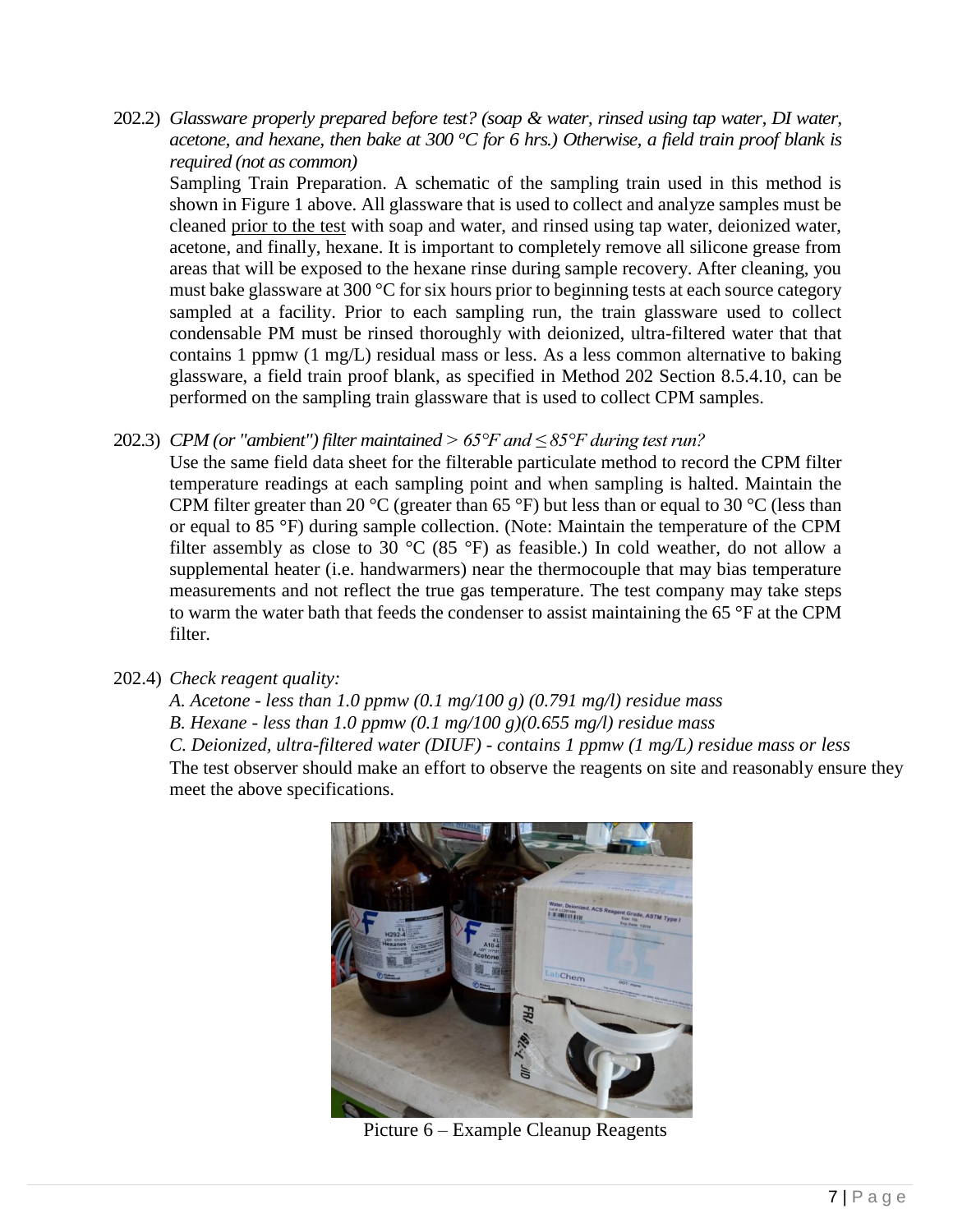202.2) *Glassware properly prepared before test? (soap & water, rinsed using tap water, DI water, acetone, and hexane, then bake at 300 <sup>o</sup>C for 6 hrs.) Otherwise, a field train proof blank is required (not as common)*

Sampling Train Preparation. A schematic of the sampling train used in this method is shown in Figure 1 above. All glassware that is used to collect and analyze samples must be cleaned prior to the test with soap and water, and rinsed using tap water, deionized water, acetone, and finally, hexane. It is important to completely remove all silicone grease from areas that will be exposed to the hexane rinse during sample recovery. After cleaning, you must bake glassware at 300 °C for six hours prior to beginning tests at each source category sampled at a facility. Prior to each sampling run, the train glassware used to collect condensable PM must be rinsed thoroughly with deionized, ultra-filtered water that that contains 1 ppmw (1 mg/L) residual mass or less. As a less common alternative to baking glassware, a field train proof blank, as specified in Method 202 Section 8.5.4.10, can be performed on the sampling train glassware that is used to collect CPM samples.

## 202.3) *CPM (or "ambient") filter maintained > 65°F and ≤ 85°F during test run?*

Use the same field data sheet for the filterable particulate method to record the CPM filter temperature readings at each sampling point and when sampling is halted. Maintain the CPM filter greater than 20 °C (greater than 65 °F) but less than or equal to 30 °C (less than or equal to 85 °F) during sample collection. (Note: Maintain the temperature of the CPM filter assembly as close to 30  $^{\circ}$ C (85  $^{\circ}$ F) as feasible.) In cold weather, do not allow a supplemental heater (i.e. handwarmers) near the thermocouple that may bias temperature measurements and not reflect the true gas temperature. The test company may take steps to warm the water bath that feeds the condenser to assist maintaining the 65 °F at the CPM filter.

# 202.4) *Check reagent quality:*

*A. Acetone - less than 1.0 ppmw (0.1 mg/100 g) (0.791 mg/l) residue mass B. Hexane - less than 1.0 ppmw (0.1 mg/100 g)(0.655 mg/l) residue mass C. Deionized, ultra-filtered water (DIUF) - contains 1 ppmw (1 mg/L) residue mass or less*  The test observer should make an effort to observe the reagents on site and reasonably ensure they meet the above specifications.



Picture 6 – Example Cleanup Reagents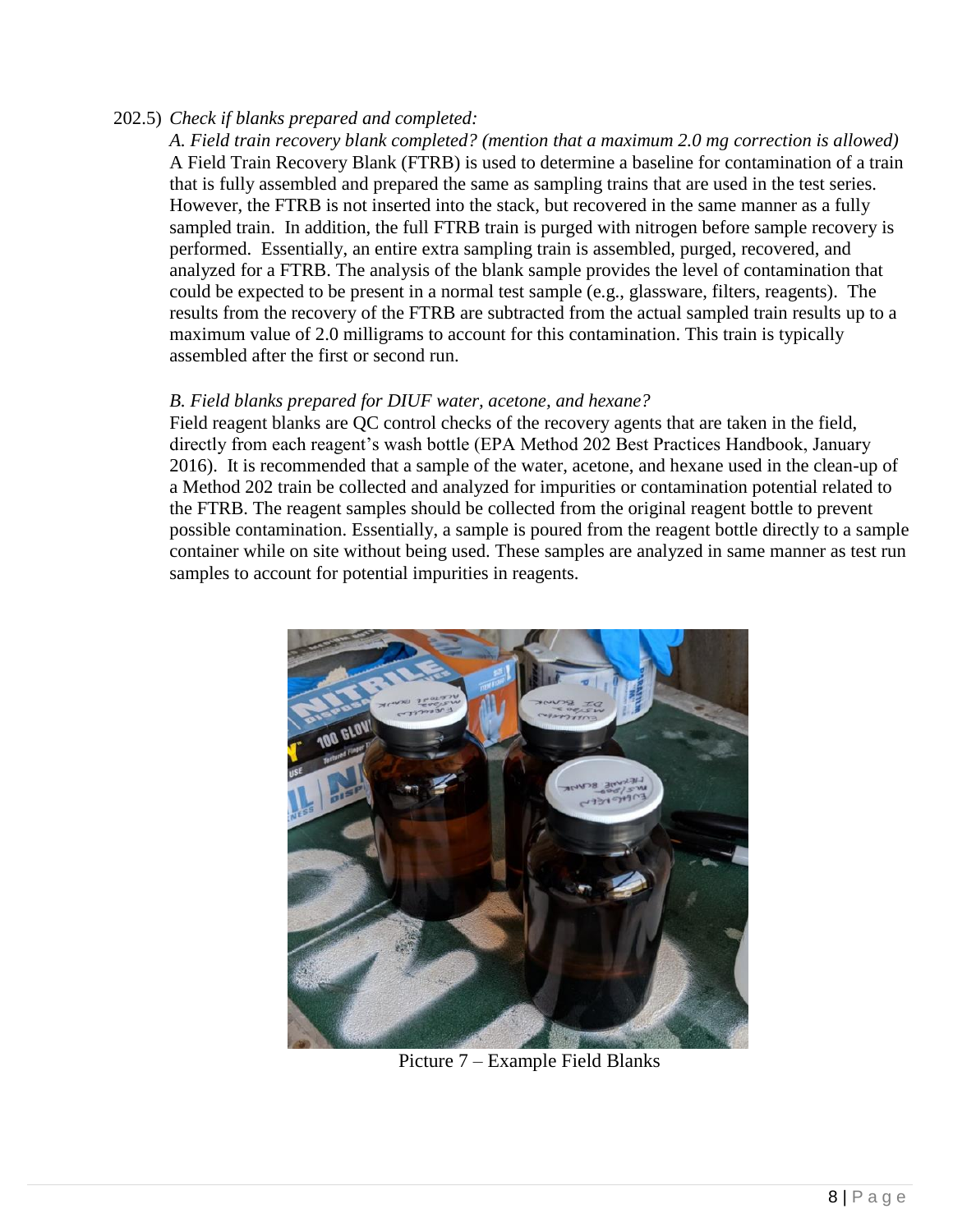## 202.5) *Check if blanks prepared and completed:*

*A. Field train recovery blank completed? (mention that a maximum 2.0 mg correction is allowed)*  A Field Train Recovery Blank (FTRB) is used to determine a baseline for contamination of a train that is fully assembled and prepared the same as sampling trains that are used in the test series. However, the FTRB is not inserted into the stack, but recovered in the same manner as a fully sampled train. In addition, the full FTRB train is purged with nitrogen before sample recovery is performed. Essentially, an entire extra sampling train is assembled, purged, recovered, and analyzed for a FTRB. The analysis of the blank sample provides the level of contamination that could be expected to be present in a normal test sample (e.g., glassware, filters, reagents). The results from the recovery of the FTRB are subtracted from the actual sampled train results up to a maximum value of 2.0 milligrams to account for this contamination. This train is typically assembled after the first or second run.

## *B. Field blanks prepared for DIUF water, acetone, and hexane?*

Field reagent blanks are QC control checks of the recovery agents that are taken in the field, directly from each reagent's wash bottle (EPA Method 202 Best Practices Handbook, January 2016). It is recommended that a sample of the water, acetone, and hexane used in the clean-up of a Method 202 train be collected and analyzed for impurities or contamination potential related to the FTRB. The reagent samples should be collected from the original reagent bottle to prevent possible contamination. Essentially, a sample is poured from the reagent bottle directly to a sample container while on site without being used. These samples are analyzed in same manner as test run samples to account for potential impurities in reagents.



Picture 7 – Example Field Blanks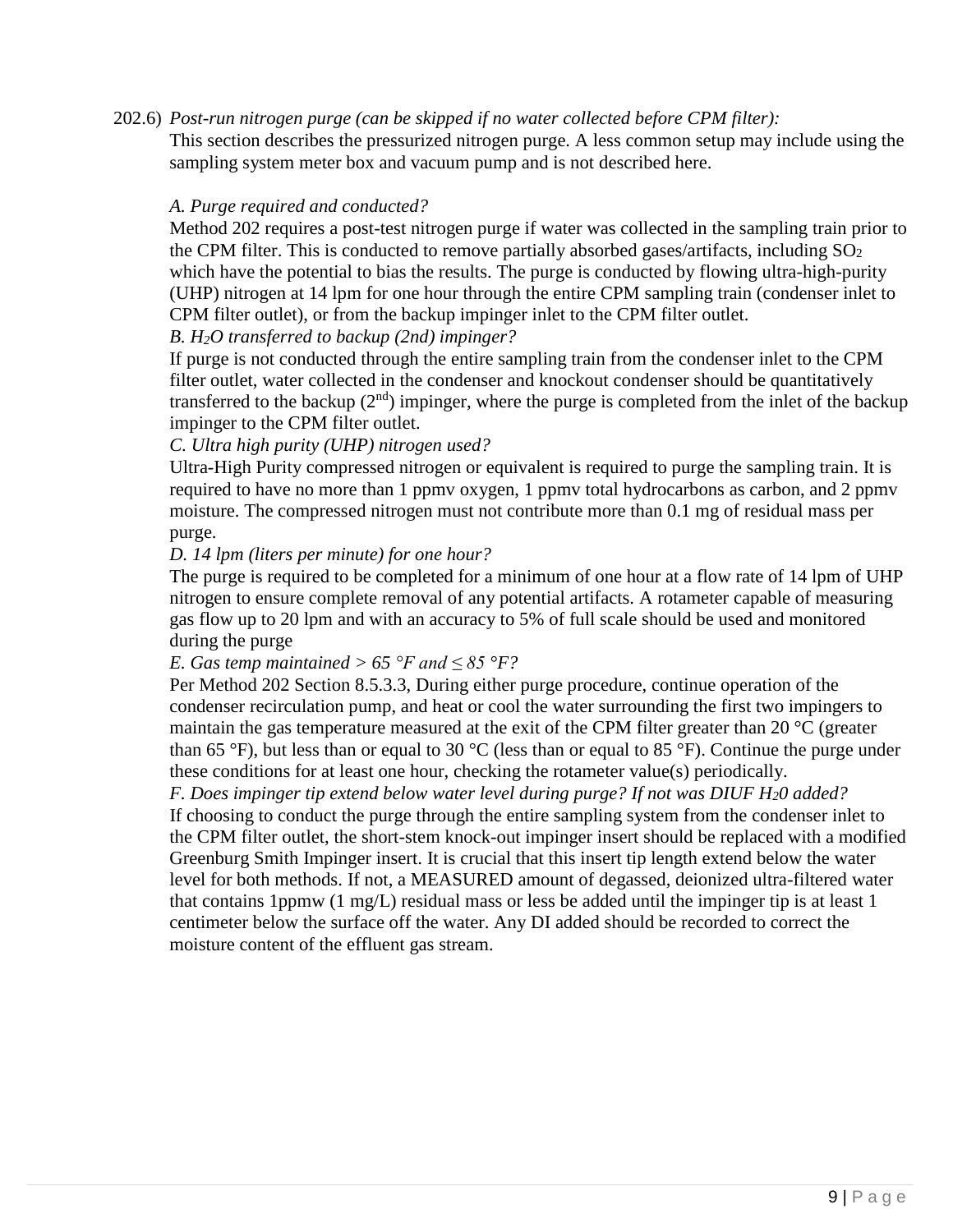# 202.6) *Post-run nitrogen purge (can be skipped if no water collected before CPM filter):*

This section describes the pressurized nitrogen purge. A less common setup may include using the sampling system meter box and vacuum pump and is not described here.

## *A. Purge required and conducted?*

Method 202 requires a post-test nitrogen purge if water was collected in the sampling train prior to the CPM filter. This is conducted to remove partially absorbed gases/artifacts, including  $SO_2$ which have the potential to bias the results. The purge is conducted by flowing ultra-high-purity (UHP) nitrogen at 14 lpm for one hour through the entire CPM sampling train (condenser inlet to CPM filter outlet), or from the backup impinger inlet to the CPM filter outlet.

# *B. H2O transferred to backup (2nd) impinger?*

If purge is not conducted through the entire sampling train from the condenser inlet to the CPM filter outlet, water collected in the condenser and knockout condenser should be quantitatively transferred to the backup  $(2<sup>nd</sup>)$  impinger, where the purge is completed from the inlet of the backup impinger to the CPM filter outlet.

## *C. Ultra high purity (UHP) nitrogen used?*

Ultra-High Purity compressed nitrogen or equivalent is required to purge the sampling train. It is required to have no more than 1 ppmv oxygen, 1 ppmv total hydrocarbons as carbon, and 2 ppmv moisture. The compressed nitrogen must not contribute more than 0.1 mg of residual mass per purge.

#### *D. 14 lpm (liters per minute) for one hour?*

The purge is required to be completed for a minimum of one hour at a flow rate of 14 lpm of UHP nitrogen to ensure complete removal of any potential artifacts. A rotameter capable of measuring gas flow up to 20 lpm and with an accuracy to 5% of full scale should be used and monitored during the purge

## *E.* Gas temp maintained > 65 °F and  $\leq 85$  °F?

Per Method 202 Section 8.5.3.3, During either purge procedure, continue operation of the condenser recirculation pump, and heat or cool the water surrounding the first two impingers to maintain the gas temperature measured at the exit of the CPM filter greater than 20 °C (greater than 65 °F), but less than or equal to 30 °C (less than or equal to 85 °F). Continue the purge under these conditions for at least one hour, checking the rotameter value(s) periodically.

*F. Does impinger tip extend below water level during purge? If not was DIUF H20 added?*  If choosing to conduct the purge through the entire sampling system from the condenser inlet to the CPM filter outlet, the short-stem knock-out impinger insert should be replaced with a modified Greenburg Smith Impinger insert. It is crucial that this insert tip length extend below the water level for both methods. If not, a MEASURED amount of degassed, deionized ultra-filtered water that contains 1ppmw (1 mg/L) residual mass or less be added until the impinger tip is at least 1 centimeter below the surface off the water. Any DI added should be recorded to correct the moisture content of the effluent gas stream.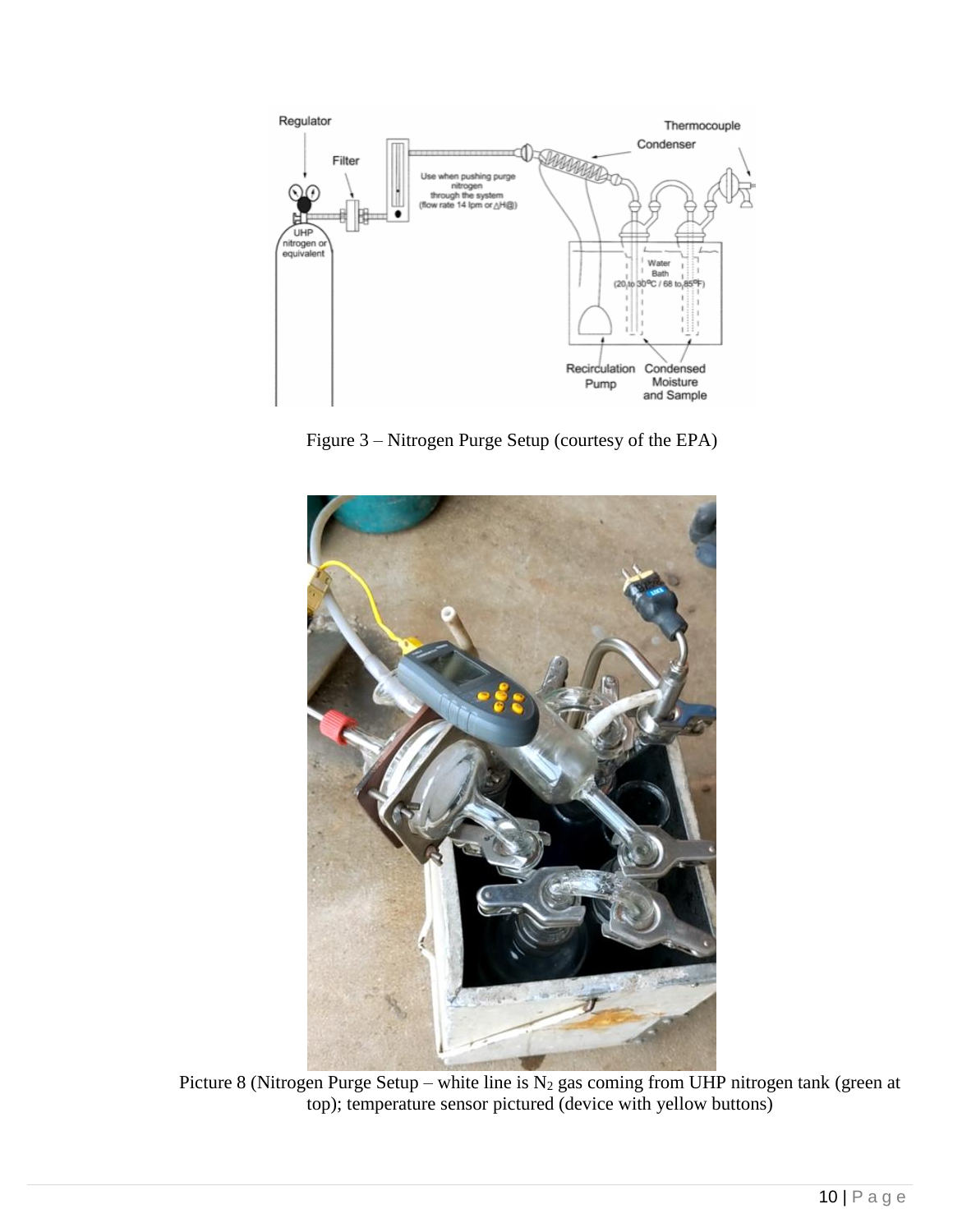

Figure 3 – Nitrogen Purge Setup (courtesy of the EPA)



Picture 8 (Nitrogen Purge Setup – white line is  $N_2$  gas coming from UHP nitrogen tank (green at top); temperature sensor pictured (device with yellow buttons)